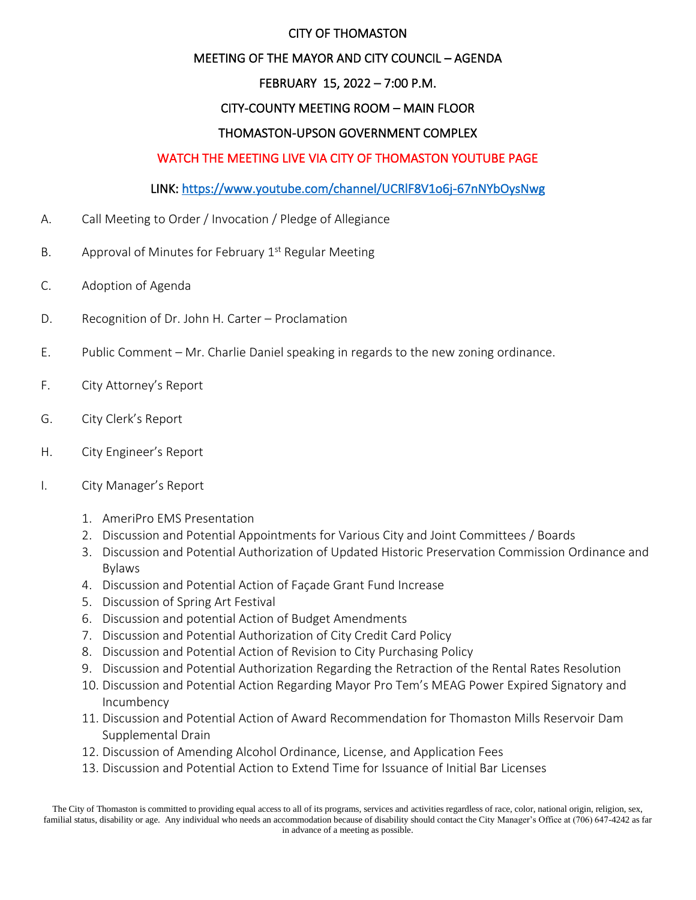#### CITY OF THOMASTON

#### MEETING OF THE MAYOR AND CITY COUNCIL – AGENDA

# FEBRUARY 15, 2022 – 7:00 P.M.

## CITY-COUNTY MEETING ROOM – MAIN FLOOR

## THOMASTON-UPSON GOVERNMENT COMPLEX

## WATCH THE MEETING LIVE VIA CITY OF THOMASTON YOUTUBE PAGE

## LINK:<https://www.youtube.com/channel/UCRlF8V1o6j-67nNYbOysNwg>

- A. Call Meeting to Order / Invocation / Pledge of Allegiance
- B. Approval of Minutes for February 1<sup>st</sup> Regular Meeting
- C. Adoption of Agenda
- D. Recognition of Dr. John H. Carter Proclamation
- E. Public Comment Mr. Charlie Daniel speaking in regards to the new zoning ordinance.
- F. City Attorney's Report
- G. City Clerk's Report
- H. City Engineer's Report
- I. City Manager's Report
	- 1. AmeriPro EMS Presentation
	- 2. Discussion and Potential Appointments for Various City and Joint Committees / Boards
	- 3. Discussion and Potential Authorization of Updated Historic Preservation Commission Ordinance and Bylaws
	- 4. Discussion and Potential Action of Façade Grant Fund Increase
	- 5. Discussion of Spring Art Festival
	- 6. Discussion and potential Action of Budget Amendments
	- 7. Discussion and Potential Authorization of City Credit Card Policy
	- 8. Discussion and Potential Action of Revision to City Purchasing Policy
	- 9. Discussion and Potential Authorization Regarding the Retraction of the Rental Rates Resolution
	- 10. Discussion and Potential Action Regarding Mayor Pro Tem's MEAG Power Expired Signatory and Incumbency
	- 11. Discussion and Potential Action of Award Recommendation for Thomaston Mills Reservoir Dam Supplemental Drain
	- 12. Discussion of Amending Alcohol Ordinance, License, and Application Fees
	- 13. Discussion and Potential Action to Extend Time for Issuance of Initial Bar Licenses